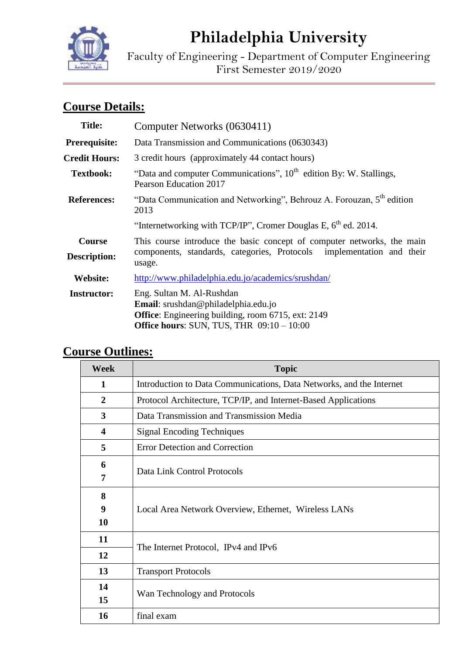

# **Philadelphia University**

Faculty of Engineering - Department of Computer Engineering First Semester 2019/2020

# **Course Details:**

| <b>Title:</b>                 | Computer Networks (0630411)                                                                                                                                         |  |  |
|-------------------------------|---------------------------------------------------------------------------------------------------------------------------------------------------------------------|--|--|
| Prerequisite:                 | Data Transmission and Communications (0630343)                                                                                                                      |  |  |
| <b>Credit Hours:</b>          | 3 credit hours (approximately 44 contact hours)                                                                                                                     |  |  |
| <b>Textbook:</b>              | "Data and computer Communications", $10th$ edition By: W. Stallings,<br>Pearson Education 2017                                                                      |  |  |
| <b>References:</b>            | "Data Communication and Networking", Behrouz A. Forouzan, 5 <sup>th</sup> edition<br>2013                                                                           |  |  |
|                               | "Internetworking with TCP/IP", Cromer Douglas E, $6th$ ed. 2014.                                                                                                    |  |  |
| Course<br><b>Description:</b> | This course introduce the basic concept of computer networks, the main<br>components, standards, categories, Protocols implementation and their<br>usage.           |  |  |
| Website:                      | http://www.philadelphia.edu.jo/academics/srushdan/                                                                                                                  |  |  |
| <b>Instructor:</b>            | Eng. Sultan M. Al-Rushdan<br>Email: srushdan@philadelphia.edu.jo<br>Office: Engineering building, room 6715, ext: 2149<br>Office hours: SUN, TUS, THR $09:10-10:00$ |  |  |

## **Course Outlines:**

| <b>Week</b>             | <b>Topic</b>                                                         |  |  |
|-------------------------|----------------------------------------------------------------------|--|--|
| 1                       | Introduction to Data Communications, Data Networks, and the Internet |  |  |
| $\overline{2}$          | Protocol Architecture, TCP/IP, and Internet-Based Applications       |  |  |
| 3                       | Data Transmission and Transmission Media                             |  |  |
| $\overline{\mathbf{4}}$ | <b>Signal Encoding Techniques</b>                                    |  |  |
| 5                       | <b>Error Detection and Correction</b>                                |  |  |
| 6                       | Data Link Control Protocols                                          |  |  |
| 7                       |                                                                      |  |  |
| 8                       | Local Area Network Overview, Ethernet, Wireless LANs                 |  |  |
| 9                       |                                                                      |  |  |
| 10                      |                                                                      |  |  |
| 11                      | The Internet Protocol, IPv4 and IPv6                                 |  |  |
| 12                      |                                                                      |  |  |
| 13                      | <b>Transport Protocols</b>                                           |  |  |
| 14                      | Wan Technology and Protocols                                         |  |  |
| 15                      |                                                                      |  |  |
| 16                      | final exam                                                           |  |  |